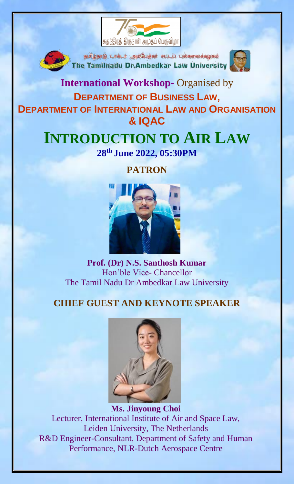



தமிழ்நாடு டாக்டர் அம்பேத்கர் சட்டப் பல்கலைக்கழகம் The Tamilnadu Dr.Ambedkar Law University



### **International Workshop-** Organised by **DEPARTMENT OF BUSINESS LAW, DEPARTMENT OF INTERNATIONAL LAW AND ORGANISATION & IQAC**

## **INTRODUCTION TO AIR LAW 28th June 2022, 05:30PM**

# **PATRON**



**Prof. (Dr) N.S. Santhosh Kumar** Hon'ble Vice- Chancellor The Tamil Nadu Dr Ambedkar Law University

#### **CHIEF GUEST AND KEYNOTE SPEAKER**



**Ms. Jinyoung Choi** Lecturer, International Institute of Air and Space Law, Leiden University, The Netherlands R&D Engineer-Consultant, Department of Safety and Human Performance, NLR-Dutch Aerospace Centre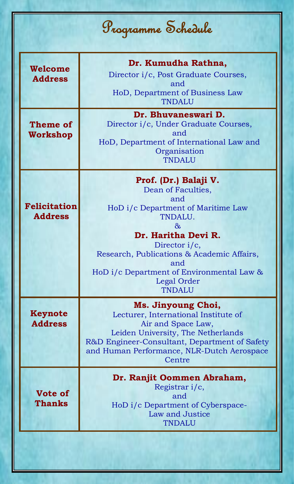| Programme Schedule                    |                                                                                                                                                                                                                                                                                       |
|---------------------------------------|---------------------------------------------------------------------------------------------------------------------------------------------------------------------------------------------------------------------------------------------------------------------------------------|
| Welcome<br><b>Address</b>             | Dr. Kumudha Rathna,<br>Director i/c, Post Graduate Courses,<br>and<br>HoD, Department of Business Law<br><b>TNDALU</b>                                                                                                                                                                |
| <b>Theme of</b><br>Workshop           | Dr. Bhuvaneswari D.<br>Director i/c, Under Graduate Courses,<br>and<br>HoD, Department of International Law and<br>Organisation<br>TNDALU                                                                                                                                             |
| <b>Felicitation</b><br><b>Address</b> | Prof. (Dr.) Balaji V.<br>Dean of Faculties,<br>and<br>HoD i/c Department of Maritime Law<br>TNDALU.<br>&<br>Dr. Haritha Devi R.<br>Director $i/c$ ,<br>Research, Publications & Academic Affairs,<br>and<br>HoD i/c Department of Environmental Law &<br>Legal Order<br><b>TNDALU</b> |
| Keynote<br><b>Address</b>             | Ms. Jinyoung Choi,<br>Lecturer, International Institute of<br>Air and Space Law,<br>Leiden University, The Netherlands<br>R&D Engineer-Consultant, Department of Safety<br>and Human Performance, NLR-Dutch Aerospace<br>Centre                                                       |
| <b>Vote of</b><br><b>Thanks</b>       | Dr. Ranjit Oommen Abraham,<br>Registrar i/c,<br>and<br>HoD i/c Department of Cyberspace-<br>Law and Justice<br>TNDALU                                                                                                                                                                 |